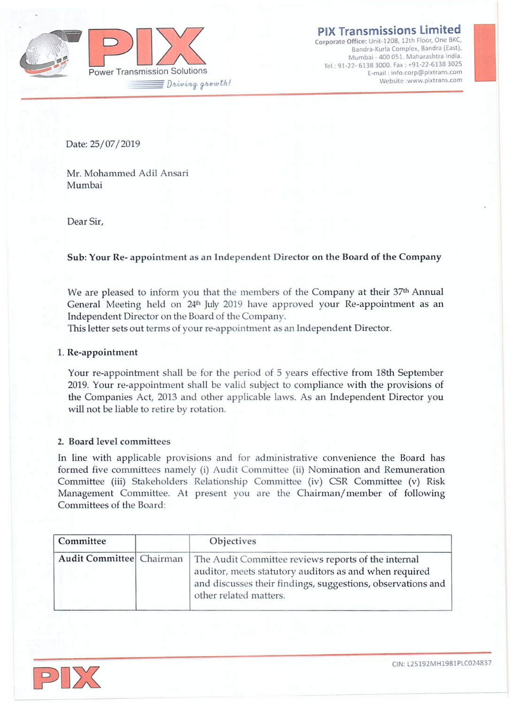

**Bandra-Kurla Complex, Sandra (East), Mumbai - 400 051. Maharashtra India.** rei: 91·22· 6138 3000. fax: +91·22-6138 3025 **E-mail: [info.corp@pixtrans.com](mailto:info.corp@pixtrans.com) ISSIONS Limited**<br> **i** 2008, 12th Floor, One BKC,<br>
urla Complex, Bandra (East),<br>
400 051. Maharashtra India.<br>
2000. Fax : +91-22-6138 3025<br>
ail : info.orp@pixtrans.com<br>
Website [:www.pixtrans.com](http://:www.pixtrans.com)

Date: 25/07/2019

Mr. Mohammed Adil Ansari Mumbai

Dear Sir,

# Sub: Your Re- appointment as an Independent Director on the Board of the Company

We are pleased to inform you that the members of the Company at their 37<sup>th</sup> Annual General Meeting held on  $24<sup>th</sup>$  July 2019 have approved your Re-appointment as an Independent Director on the Board of the Company.

This letter sets out terms of your re-appointment as an Independent Director.

## 1. Re-appointment

Your re-appointment shall be for the period of 5 years effective from 18th September 2019. Your re-appointment shall be valid subject to compliance with the provisions of the Companies Act, 2013 and other applicable laws. As an Independent Director you will not be liable to retire by rotation.

## 2. Board level committees

In line with applicable provisions and for administrative convenience the Board has formed five committees namely (i) Audit Committee (ii) Nomination and Remuneration Committee (iii) Stakeholders Relationship Committee (iv) CSR Committee (v) Risk Management Committee. At present you are the Chairman/member of following Committees of the Board:

| Committee                | <b>Objectives</b>                                                                                                                                                                                      |
|--------------------------|--------------------------------------------------------------------------------------------------------------------------------------------------------------------------------------------------------|
| Audit Committee Chairman | The Audit Committee reviews reports of the internal<br>auditor, meets statutory auditors as and when required<br>and discusses their findings, suggestions, observations and<br>other related matters. |

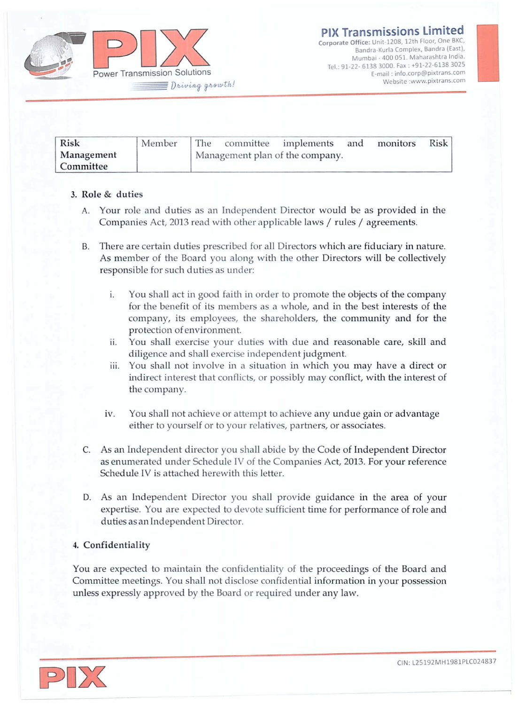

| <b>Risk</b> | Member |                                 |  | The committee implements and |  | monitors | Risk |  |
|-------------|--------|---------------------------------|--|------------------------------|--|----------|------|--|
| Management  |        | Management plan of the company. |  |                              |  |          |      |  |
| Committee   |        |                                 |  |                              |  |          |      |  |

# 3. Role & duties

- A. Your role and duties as an Independent Director would be as provided in the Companies Act, 2013 read with other applicable laws / rules / agreements.
- B. There are certain duties prescribed for all Directors which are fiduciary in nature. As member of the Board you along with the other Directors will be collectively responsible for such duties as under:
	- i. You shall act in good faith in order to promote the objects of the company for the benefit of its members as a whole, and in the best interests of the company, its employees, the shareholders, the community and for the protection of environment.
	- ii. You shall exercise your duties with due and reasonable care, skill and diligence and shall exercise independent judgment.
	- iii. You shall not involve in a situation in which you may have a direct or indirect interest that conflicts, or possibly may conflict, with the interest of the company.
	- iv. You shall not achieve or attempt to achieve any undue gain or advantage either to yourself or to your relatives, partners, or associates.
- C. As an Independent director you shall abide by the Code of Independent Director as enumerated under Schedule IV of the Companies Act, 2013. For your reference Schedule IV is attached herewith this letter.
- D. As an Independent Director you shall provide guidance in the area of your expertise. You are expected to devote sufficient time for performance of role and duties as an Independent Director.

## 4. Confidentiality

You are expected to maintain the confidentiality of the proceedings of the Board and Committee meetings. You shall not disclose confidential information in your possession unless expressly approved by the Board or required under any law.